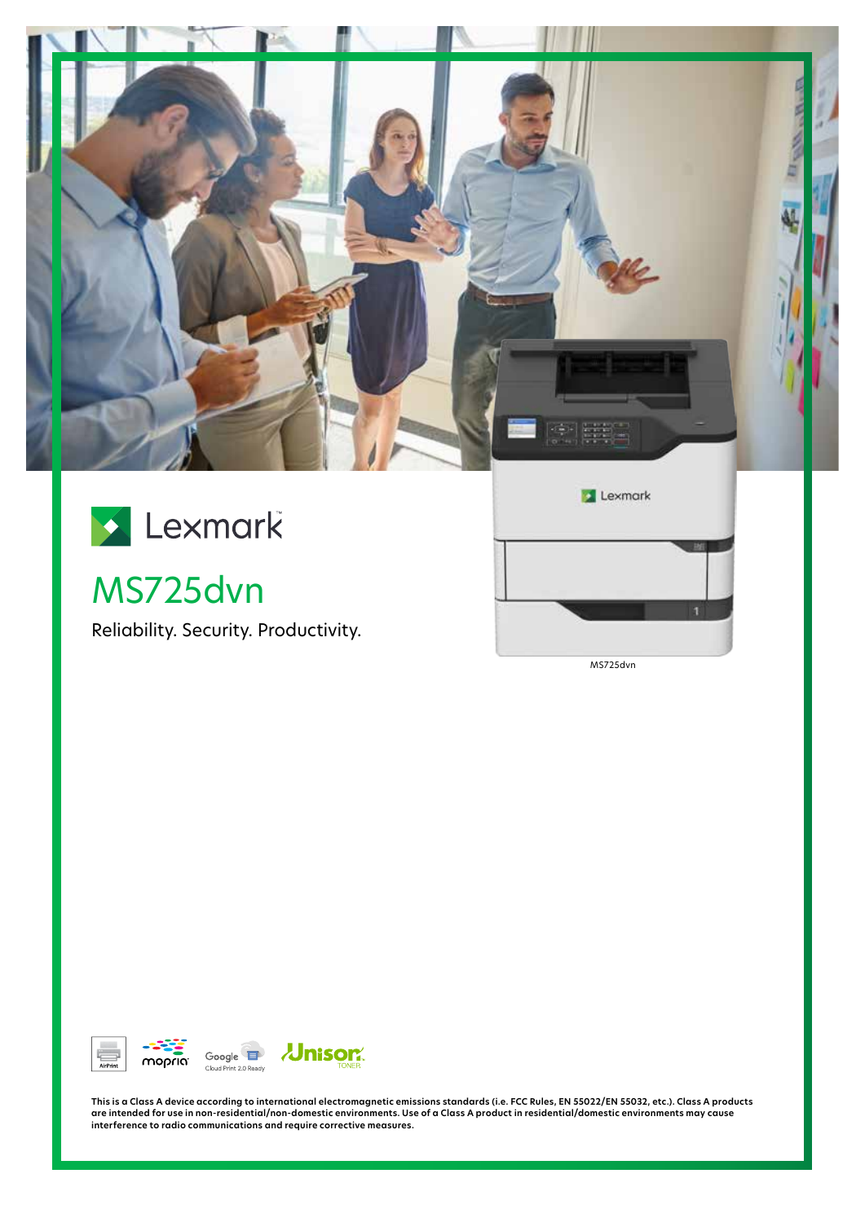



# MS725dvn

Reliability. Security. Productivity.



MS725dvn



This is a Class A device according to international electromagnetic emissions standards (i.e. FCC Rules, EN 55022/EN 55032, etc.). Class A products<br>are intended for use in non-residential/non-domestic environments. Use of **interference to radio communications and require corrective measures.**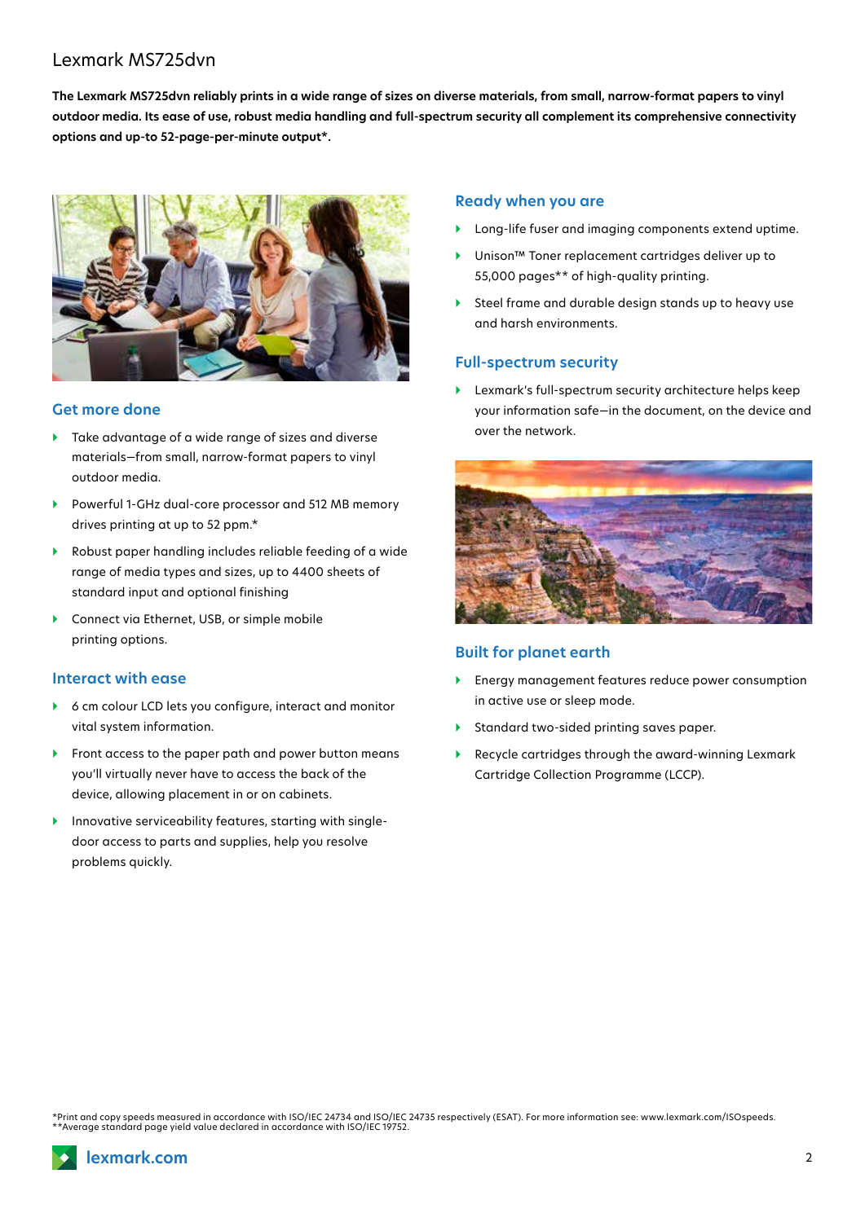## Lexmark MS725dvn

**The Lexmark MS725dvn reliably prints in a wide range of sizes on diverse materials, from small, narrow-format papers to vinyl outdoor media. Its ease of use, robust media handling and full-spectrum security all complement its comprehensive connectivity options and up-to 52-page-per-minute output\*.**



### **Get more done**

- ▶ Take advantage of a wide range of sizes and diverse materials—from small, narrow-format papers to vinyl outdoor media.
- } Powerful 1-GHz dual-core processor and 512 MB memory drives printing at up to 52 ppm.\*
- } Robust paper handling includes reliable feeding of a wide range of media types and sizes, up to 4400 sheets of standard input and optional finishing
- ▶ Connect via Ethernet, USB, or simple mobile printing options.

#### **Interact with ease**

- } 6 cm colour LCD lets you configure, interact and monitor vital system information.
- } Front access to the paper path and power button means you'll virtually never have to access the back of the device, allowing placement in or on cabinets.
- $\blacktriangleright$  Innovative serviceability features, starting with singledoor access to parts and supplies, help you resolve problems quickly.

#### **Ready when you are**

- Long-life fuser and imaging components extend uptime.
- Unison™ Toner replacement cartridges deliver up to 55,000 pages\*\* of high-quality printing.
- } Steel frame and durable design stands up to heavy use and harsh environments.

#### **Full-spectrum security**

} Lexmark's full-spectrum security architecture helps keep your information safe—in the document, on the device and over the network.



#### **Built for planet earth**

- } Energy management features reduce power consumption in active use or sleep mode.
- } Standard two-sided printing saves paper.
- } Recycle cartridges through the award-winning Lexmark Cartridge Collection Programme (LCCP).

\*Print and copy speeds measured in accordance with ISO/IEC 24734 and ISO/IEC 24735 respectively (ESAT). For more information see: www.lexmark.com/ISOspeeds.<br>\*\*Average standard page yield value declared in accordance with I

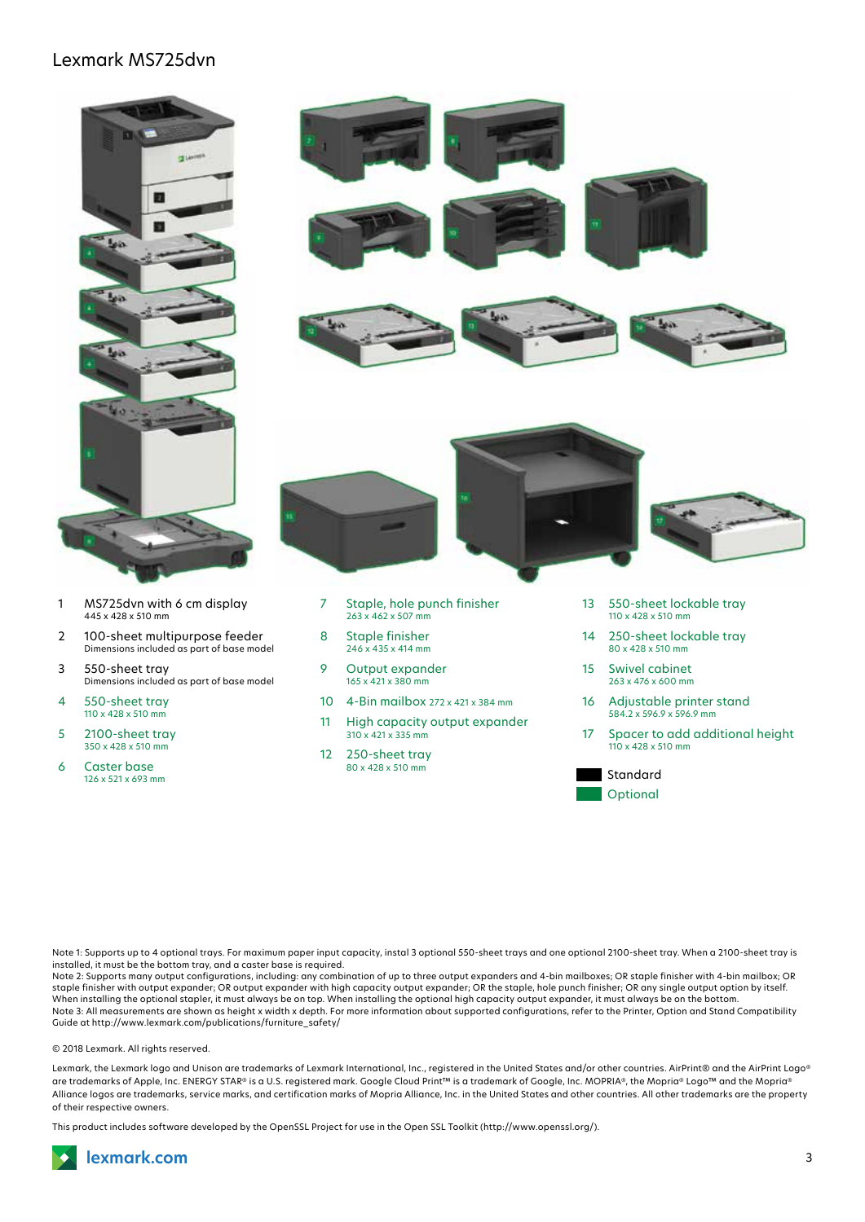## Lexmark MS725dvn



- 1 MS725dvn with 6 cm display 445 x 428 x 510 mm
- 2 100-sheet multipurpose feeder Dimensions included as part of base model
- 3 550-sheet tray Dimensions included as part of base model
- 4 550-sheet tray 110 x 428 x 510 mm
- 5 2100-sheet tray 350 x 428 x 510 mm
- 6 Caster base 126 x 521 x 693 mm





- 7 Staple, hole punch finisher 263 x 462 x 507 mm
- 8 Staple finisher 246 x 435 x 414 mm
- 9 Output expander 165 x 421 x 380 mm
- 10 4-Bin mailbox 272 x 421 x 384 mm
- 11 High capacity output expander 310 x 421 x 335 mm
- 12 250-sheet tray 80 x 428 x 510 mm
- 13 550-sheet lockable tray 110 x 428 x 510 mm
- 14 250-sheet lockable tray 80 x 428 x 510 mm
- 15 Swivel cabinet 263 x 476 x 600 mm
- 16 Adjustable printer stand 584.2 x 596.9 x 596.9 mm
- 17 Spacer to add additional height 110 x 428 x 510 mm

Standard Optional

Note 1: Supports up to 4 optional trays. For maximum paper input capacity, instal 3 optional 550-sheet trays and one optional 2100-sheet tray. When a 2100-sheet tray is installed, it must be the bottom tray, and a caster base is required.

Note 2: Supports many output configurations, including: any combination of up to three output expanders and 4-bin mailboxes; OR staple finisher with 4-bin mailbox; OR staple finisher with output expander; OR output expander with high capacity output expander; OR the staple, hole punch finisher; OR any single output option by itself. When installing the optional stapler, it must always be on top. When installing the optional high capacity output expander, it must always be on the bottom.<br>Note 3: All measurements are shown as height x width x depth. For Guide at http://www.lexmark.com/publications/furniture\_safety/

© 2018 Lexmark. All rights reserved.

Lexmark, the Lexmark logo and Unison are trademarks of Lexmark International, Inc., registered in the United States and/or other countries. AirPrint® and the AirPrint Logo® are trademarks of Apple, Inc. ENERGY STAR® is a U.S. registered mark. Google Cloud Print™ is a trademark of Google, Inc. MOPRIA®, the Mopria® Logo™ and the Mopria® Alliance logos are trademarks, service marks, and certification marks of Mopria Alliance, Inc. in the United States and other countries. All other trademarks are the property of their respective owners.

This product includes software developed by the OpenSSL Project for use in the Open SSL Toolkit (http://www.openssl.org/).